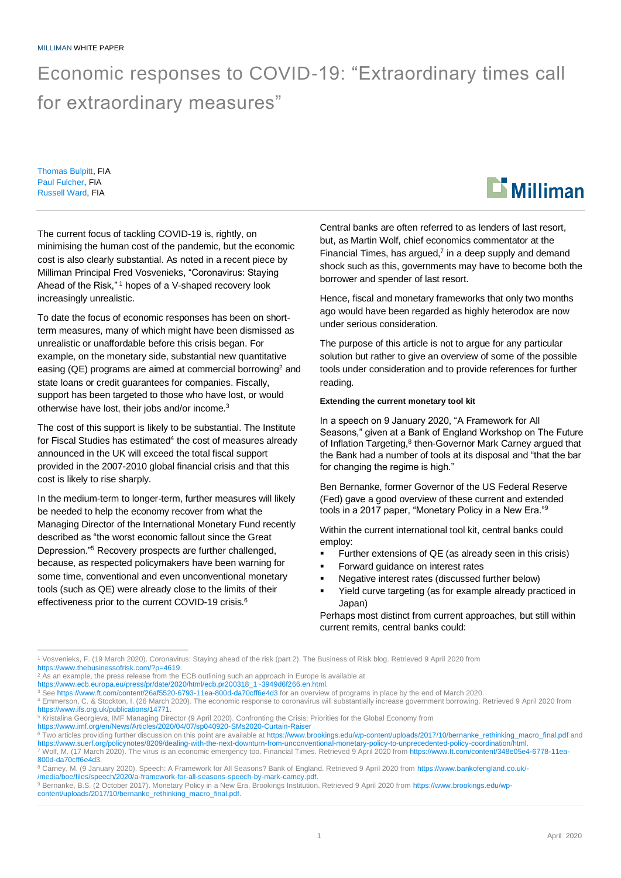## Economic responses to COVID-19: "Extraordinary times call for extraordinary measures"

Thomas Bulpitt, FIA Paul Fulcher, FIA Russell Ward, FIA



To date the focus of economic responses has been on shortterm measures, many of which might have been dismissed as unrealistic or unaffordable before this crisis began. For example, on the monetary side, substantial new quantitative easing (QE) programs are aimed at commercial borrowing<sup>2</sup> and state loans or credit guarantees for companies. Fiscally, support has been targeted to those who have lost, or would otherwise have lost, their jobs and/or income.<sup>3</sup>

The cost of this support is likely to be substantial. The Institute for Fiscal Studies has estimated<sup>4</sup> the cost of measures already announced in the UK will exceed the total fiscal support provided in the 2007-2010 global financial crisis and that this cost is likely to rise sharply.

In the medium-term to longer-term, further measures will likely be needed to help the economy recover from what the Managing Director of the International Monetary Fund recently described as "the worst economic fallout since the Great Depression."<sup>5</sup> Recovery prospects are further challenged, because, as respected policymakers have been warning for some time, conventional and even unconventional monetary tools (such as QE) were already close to the limits of their effectiveness prior to the current COVID-19 crisis.<sup>6</sup>

Central banks are often referred to as lenders of last resort, but, as Martin Wolf, chief economics commentator at the Financial Times, has argued, $<sup>7</sup>$  in a deep supply and demand</sup> shock such as this, governments may have to become both the borrower and spender of last resort.

Hence, fiscal and monetary frameworks that only two months ago would have been regarded as highly heterodox are now under serious consideration.

The purpose of this article is not to argue for any particular solution but rather to give an overview of some of the possible tools under consideration and to provide references for further reading.

#### **Extending the current monetary tool kit**

In a speech on 9 January 2020, "A Framework for All Seasons," given at a Bank of England Workshop on The Future of Inflation Targeting,<sup>8</sup> then-Governor Mark Carney argued that the Bank had a number of tools at its disposal and "that the bar for changing the regime is high."

Ben Bernanke, former Governor of the US Federal Reserve (Fed) gave a good overview of these current and extended tools in a 2017 paper, "Monetary Policy in a New Era."<sup>9</sup>

Within the current international tool kit, central banks could employ:

- Further extensions of QE (as already seen in this crisis)
- Forward guidance on interest rates
- Negative interest rates (discussed further below)
- Yield curve targeting (as for example already practiced in Japan)

Perhaps most distinct from current approaches, but still within current remits, central banks could:

<sup>3</sup> See<https://www.ft.com/content/26af5520-6793-11ea-800d-da70cff6e4d3> for an overview of programs in place by the end of March 2020.



<sup>1</sup> Vosvenieks, F. (19 March 2020). Coronavirus: Staying ahead of the risk (part 2). The Business of Risk blog. Retrieved 9 April 2020 from [https://www.thebusinessofrisk.com/?p=4619.](https://www.thebusinessofrisk.com/?p=4619)

<sup>&</sup>lt;sup>2</sup> As an example, the press release from the ECB outlining such an approach in Europe is available at

[https://www.ecb.europa.eu/press/pr/date/2020/html/ecb.pr200318\\_1~3949d6f266.en.html.](https://www.ecb.europa.eu/press/pr/date/2020/html/ecb.pr200318_1~3949d6f266.en.html)

<sup>4</sup> Emmerson, C. & Stockton, I. (26 March 2020). The economic response to coronavirus will substantially increase government borrowing. Retrieved 9 April 2020 from [https://www.ifs.org.uk/publications/14771.](https://www.ifs.org.uk/publications/14771)

<sup>5</sup> Kristalina Georgieva, IMF Managing Director (9 April 2020). Confronting the Crisis: Priorities for the Global Economy from<br><https://www.imf.org/en/News/Articles/2020/04/07/sp040920-SMs2020-Curtain-Raiser>

<sup>&</sup>lt;sup>6</sup> Two articles providing further discussion on this point are available at [https://www.brookings.edu/wp-content/uploads/2017/10/bernanke\\_rethinking\\_macro\\_final.pdf](https://www.brookings.edu/wp-content/uploads/2017/10/bernanke_rethinking_macro_final.pdf) and

[https://www.suerf.org/policynotes/8209/dealing-with-the-next-downturn-from-unconventional-monetary-policy-to-unprecedented-policy-coordination/html.](https://www.suerf.org/policynotes/8209/dealing-with-the-next-downturn-from-unconventional-monetary-policy-to-unprecedented-policy-coordination/html) <sup>7</sup> Wolf, M. (17 March 2020). The virus is an economic emergency too. Financial Times. Retrieved 9 April 2020 from [https://www.ft.com/content/348e05e4-6778-11ea-](https://www.ft.com/content/348e05e4-6778-11ea-800d-da70cff6e4d3)[800d-da70cff6e4d3.](https://www.ft.com/content/348e05e4-6778-11ea-800d-da70cff6e4d3)

<sup>8</sup> Carney, M. (9 January 2020). Speech: A Framework for All Seasons? Bank of England. Retrieved 9 April 2020 from [https://www.bankofengland.co.uk/-](https://www.bankofengland.co.uk/-/media/boe/files/speech/2020/a-framework-for-all-seasons-speech-by-mark-carney.pdf) [/media/boe/files/speech/2020/a-framework-for-all-seasons-speech-by-mark-carney.pdf.](https://www.bankofengland.co.uk/-/media/boe/files/speech/2020/a-framework-for-all-seasons-speech-by-mark-carney.pdf)

<sup>9</sup> Bernanke, B.S. (2 October 2017). Monetary Policy in a New Era. Brookings Institution. Retrieved 9 April 2020 from [https://www.brookings.edu/wp](https://www.brookings.edu/wp-content/uploads/2017/10/bernanke_rethinking_macro_final.pdf)[content/uploads/2017/10/bernanke\\_rethinking\\_macro\\_final.pdf.](https://www.brookings.edu/wp-content/uploads/2017/10/bernanke_rethinking_macro_final.pdf)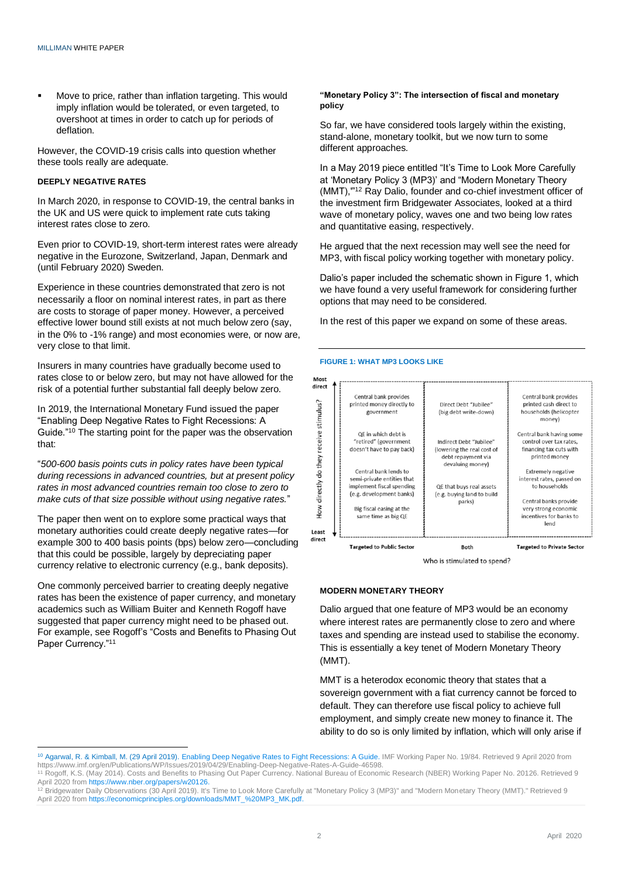Move to price, rather than inflation targeting. This would imply inflation would be tolerated, or even targeted, to overshoot at times in order to catch up for periods of deflation.

However, the COVID-19 crisis calls into question whether these tools really are adequate.

#### **DEEPLY NEGATIVE RATES**

In March 2020, in response to COVID-19, the central banks in the UK and US were quick to implement rate cuts taking interest rates close to zero.

Even prior to COVID-19, short-term interest rates were already negative in the Eurozone, Switzerland, Japan, Denmark and (until February 2020) Sweden.

Experience in these countries demonstrated that zero is not necessarily a floor on nominal interest rates, in part as there are costs to storage of paper money. However, a perceived effective lower bound still exists at not much below zero (say, in the 0% to -1% range) and most economies were, or now are, very close to that limit.

Insurers in many countries have gradually become used to rates close to or below zero, but may not have allowed for the risk of a potential further substantial fall deeply below zero.

In 2019, the International Monetary Fund issued the paper "Enabling Deep Negative Rates to Fight Recessions: A Guide."<sup>10</sup> The starting point for the paper was the observation that:

"*500-600 basis points cuts in policy rates have been typical during recessions in advanced countries, but at present policy rates in most advanced countries remain too close to zero to make cuts of that size possible without using negative rates.*"

The paper then went on to explore some practical ways that monetary authorities could create deeply negative rates—for example 300 to 400 basis points (bps) below zero—concluding that this could be possible, largely by depreciating paper currency relative to electronic currency (e.g., bank deposits).

One commonly perceived barrier to creating deeply negative rates has been the existence of paper currency, and monetary academics such as William Buiter and Kenneth Rogoff have suggested that paper currency might need to be phased out. For example, see Rogoff's "Costs and Benefits to Phasing Out Paper Currency."<sup>11</sup>

#### **"Monetary Policy 3": The intersection of fiscal and monetary policy**

So far, we have considered tools largely within the existing, stand-alone, monetary toolkit, but we now turn to some different approaches.

In a May 2019 piece entitled "It's Time to Look More Carefully at 'Monetary Policy 3 (MP3)' and "Modern Monetary Theory (MMT),'"<sup>12</sup> Ray Dalio, founder and co-chief investment officer of the investment firm Bridgewater Associates, looked at a third wave of monetary policy, waves one and two being low rates and quantitative easing, respectively.

He argued that the next recession may well see the need for MP3, with fiscal policy working together with monetary policy.

Dalio's paper included the schematic shown in Figure 1, which we have found a very useful framework for considering further options that may need to be considered.

In the rest of this paper we expand on some of these areas.

#### **FIGURE 1: WHAT MP3 LOOKS LIKE**



Who is stimulated to spend?

#### **MODERN MONETARY THEORY**

Dalio argued that one feature of MP3 would be an economy where interest rates are permanently close to zero and where taxes and spending are instead used to stabilise the economy. This is essentially a key tenet of Modern Monetary Theory (MMT).

MMT is a heterodox economic theory that states that a sovereign government with a fiat currency cannot be forced to default. They can therefore use fiscal policy to achieve full employment, and simply create new money to finance it. The ability to do so is only limited by inflation, which will only arise if

<sup>10</sup> Agarwal, R. & Kimball, M. (29 April 2019)[. Enabling Deep Negative Rates to Fight Recessions: A Guide.](https://www.imf.org/en/Publications/WP/Issues/2019/04/29/Enabling-Deep-Negative-Rates-A-Guide-46598) IMF Working Paper No. 19/84. Retrieved 9 April 2020 from https://www.imf.org/en/Publications/WP/Issues/2019/04/29/Enabling-Deep-Negative-Rates-A-Guide-46598.

<sup>11</sup> Rogoff, K.S. (May 2014). Costs and Benefits to Phasing Out Paper Currency. National Bureau of Economic Research (NBER) Working Paper No. 20126. Retrieved 9 April 2020 fro[m https://www.nber.org/papers/w20126.](https://www.nber.org/papers/w20126)

<sup>&</sup>lt;sup>12</sup> Bridgewater Daily Observations (30 April 2019). It's Time to Look More Carefully at "Monetary Policy 3 (MP3)" and "Modern Monetary Theory (MMT)." Retrieved 9 April 2020 from https://economicprinciples.org/downloads/MMT\_%20MP3\_MK.pdf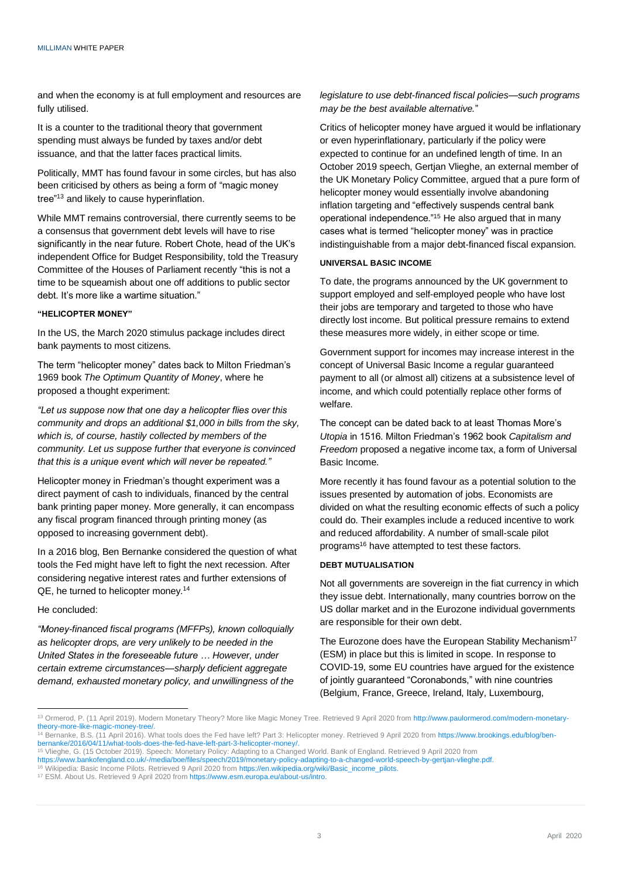and when the economy is at full employment and resources are fully utilised.

It is a counter to the traditional theory that government spending must always be funded by taxes and/or debt issuance, and that the latter faces practical limits.

Politically, MMT has found favour in some circles, but has also been criticised by others as being a form of "magic money tree"<sup>13</sup> and likely to cause hyperinflation.

While MMT remains controversial, there currently seems to be a consensus that government debt levels will have to rise significantly in the near future. Robert Chote, head of the UK's independent Office for Budget Responsibility, told the Treasury Committee of the Houses of Parliament recently "this is not a time to be squeamish about one off additions to public sector debt. It's more like a wartime situation."

#### **"HELICOPTER MONEY"**

In the US, the March 2020 stimulus package includes direct bank payments to most citizens.

The term "helicopter money" dates back to Milton Friedman's 1969 book *The Optimum Quantity of Money*, where he proposed a thought experiment:

*"Let us suppose now that one day a helicopter flies over this community and drops an additional \$1,000 in bills from the sky, which is, of course, hastily collected by members of the community. Let us suppose further that everyone is convinced that this is a unique event which will never be repeated."*

Helicopter money in Friedman's thought experiment was a direct payment of cash to individuals, financed by the central bank printing paper money. More generally, it can encompass any fiscal program financed through printing money (as opposed to increasing government debt).

In a 2016 blog, Ben Bernanke considered the question of what tools the Fed might have left to fight the next recession. After considering negative interest rates and further extensions of QE, he turned to helicopter money.<sup>14</sup>

#### He concluded:

*"Money-financed fiscal programs (MFFPs), known colloquially as helicopter drops, are very unlikely to be needed in the United States in the foreseeable future … However, under certain extreme circumstances—sharply deficient aggregate demand, exhausted monetary policy, and unwillingness of the*  *legislature to use debt-financed fiscal policies—such programs may be the best available alternative.*"

Critics of helicopter money have argued it would be inflationary or even hyperinflationary, particularly if the policy were expected to continue for an undefined length of time. In an October 2019 speech, Gertjan Vlieghe, an external member of the UK Monetary Policy Committee, argued that a pure form of helicopter money would essentially involve abandoning inflation targeting and "effectively suspends central bank operational independence."<sup>15</sup> He also argued that in many cases what is termed "helicopter money" was in practice indistinguishable from a major debt-financed fiscal expansion.

#### **UNIVERSAL BASIC INCOME**

To date, the programs announced by the UK government to support employed and self-employed people who have lost their jobs are temporary and targeted to those who have directly lost income. But political pressure remains to extend these measures more widely, in either scope or time.

Government support for incomes may increase interest in the concept of Universal Basic Income a regular guaranteed payment to all (or almost all) citizens at a subsistence level of income, and which could potentially replace other forms of welfare.

The concept can be dated back to at least Thomas More's *Utopia* in 1516. Milton Friedman's 1962 book *Capitalism and Freedom* proposed a negative income tax, a form of Universal Basic Income.

More recently it has found favour as a potential solution to the issues presented by automation of jobs. Economists are divided on what the resulting economic effects of such a policy could do. Their examples include a reduced incentive to work and reduced affordability. A number of small-scale pilot programs<sup>16</sup> have attempted to test these factors.

### **DEBT MUTUALISATION**

Not all governments are sovereign in the fiat currency in which they issue debt. Internationally, many countries borrow on the US dollar market and in the Eurozone individual governments are responsible for their own debt.

The Eurozone does have the European Stability Mechanism<sup>17</sup> (ESM) in place but this is limited in scope. In response to COVID-19, some EU countries have argued for the existence of jointly guaranteed "Coronabonds," with nine countries (Belgium, France, Greece, Ireland, Italy, Luxembourg,

<sup>13</sup> Ormerod, P. (11 April 2019). Modern Monetary Theory? More like Magic Money Tree. Retrieved 9 April 2020 fro[m http://www.paulormerod.com/modern-monetary](http://www.paulormerod.com/modern-monetary-theory-more-like-magic-money-tree/)[theory-more-like-magic-money-tree/.](http://www.paulormerod.com/modern-monetary-theory-more-like-magic-money-tree/)

<sup>14</sup> Bernanke, B.S. (11 April 2016). What tools does the Fed have left? Part 3: Helicopter money. Retrieved 9 April 2020 from [https://www.brookings.edu/blog/ben](https://www.brookings.edu/blog/ben-bernanke/2016/04/11/what-tools-does-the-fed-have-left-part-3-helicopter-money/)[bernanke/2016/04/11/what-tools-does-the-fed-have-left-part-3-helicopter-money/.](https://www.brookings.edu/blog/ben-bernanke/2016/04/11/what-tools-does-the-fed-have-left-part-3-helicopter-money/)

<sup>15</sup> Vlieghe, G. (15 October 2019). Speech: Monetary Policy: Adapting to a Changed World. Bank of England. Retrieved 9 April 2020 from

[https://www.bankofengland.co.uk/-/media/boe/files/speech/2019/monetary-policy-adapting-to-a-changed-world-speech-by-gertjan-vlieghe.pdf.](https://www.bankofengland.co.uk/-/media/boe/files/speech/2019/monetary-policy-adapting-to-a-changed-world-speech-by-gertjan-vlieghe.pdf)

<sup>16</sup> Wikipedia: Basic Income Pilots. Retrieved 9 April 2020 fro[m https://en.wikipedia.org/wiki/Basic\\_income\\_pilots.](https://en.wikipedia.org/wiki/Basic_income_pilots)

<sup>17</sup> ESM. About Us. Retrieved 9 April 2020 fro[m https://www.esm.europa.eu/about-us/intro.](https://www.esm.europa.eu/about-us/intro)